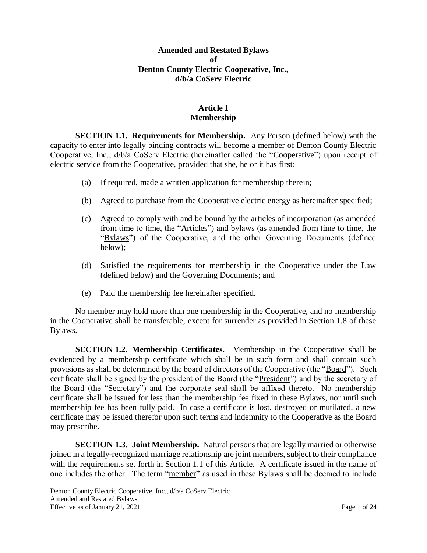#### **Amended and Restated Bylaws of Denton County Electric Cooperative, Inc., d/b/a CoServ Electric**

# **Article I Membership**

**SECTION 1.1. Requirements for Membership.** Any Person (defined below) with the capacity to enter into legally binding contracts will become a member of Denton County Electric Cooperative, Inc., d/b/a CoServ Electric (hereinafter called the "Cooperative") upon receipt of electric service from the Cooperative, provided that she, he or it has first:

- (a) If required, made a written application for membership therein;
- (b) Agreed to purchase from the Cooperative electric energy as hereinafter specified;
- (c) Agreed to comply with and be bound by the articles of incorporation (as amended from time to time, the "Articles") and bylaws (as amended from time to time, the "Bylaws") of the Cooperative, and the other Governing Documents (defined below);
- (d) Satisfied the requirements for membership in the Cooperative under the Law (defined below) and the Governing Documents; and
- (e) Paid the membership fee hereinafter specified.

No member may hold more than one membership in the Cooperative, and no membership in the Cooperative shall be transferable, except for surrender as provided in Section 1.8 of these Bylaws.

**SECTION 1.2. Membership Certificates.** Membership in the Cooperative shall be evidenced by a membership certificate which shall be in such form and shall contain such provisions as shall be determined by the board of directors of the Cooperative (the "Board"). Such certificate shall be signed by the president of the Board (the "President") and by the secretary of the Board (the "Secretary") and the corporate seal shall be affixed thereto. No membership certificate shall be issued for less than the membership fee fixed in these Bylaws, nor until such membership fee has been fully paid. In case a certificate is lost, destroyed or mutilated, a new certificate may be issued therefor upon such terms and indemnity to the Cooperative as the Board may prescribe.

**SECTION 1.3. Joint Membership.** Natural persons that are legally married or otherwise joined in a legally-recognized marriage relationship are joint members, subject to their compliance with the requirements set forth in Section 1.1 of this Article. A certificate issued in the name of one includes the other. The term "member" as used in these Bylaws shall be deemed to include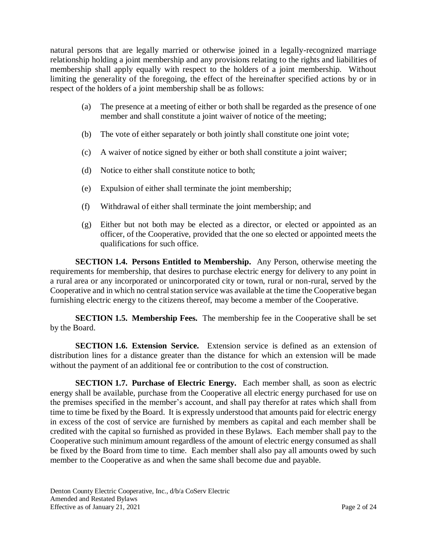natural persons that are legally married or otherwise joined in a legally-recognized marriage relationship holding a joint membership and any provisions relating to the rights and liabilities of membership shall apply equally with respect to the holders of a joint membership. Without limiting the generality of the foregoing, the effect of the hereinafter specified actions by or in respect of the holders of a joint membership shall be as follows:

- (a) The presence at a meeting of either or both shall be regarded as the presence of one member and shall constitute a joint waiver of notice of the meeting;
- (b) The vote of either separately or both jointly shall constitute one joint vote;
- (c) A waiver of notice signed by either or both shall constitute a joint waiver;
- (d) Notice to either shall constitute notice to both;
- (e) Expulsion of either shall terminate the joint membership;
- (f) Withdrawal of either shall terminate the joint membership; and
- (g) Either but not both may be elected as a director, or elected or appointed as an officer, of the Cooperative, provided that the one so elected or appointed meets the qualifications for such office.

**SECTION 1.4. Persons Entitled to Membership.** Any Person, otherwise meeting the requirements for membership, that desires to purchase electric energy for delivery to any point in a rural area or any incorporated or unincorporated city or town, rural or non-rural, served by the Cooperative and in which no central station service was available at the time the Cooperative began furnishing electric energy to the citizens thereof, may become a member of the Cooperative.

**SECTION 1.5. Membership Fees.** The membership fee in the Cooperative shall be set by the Board.

**SECTION 1.6. Extension Service.** Extension service is defined as an extension of distribution lines for a distance greater than the distance for which an extension will be made without the payment of an additional fee or contribution to the cost of construction.

**SECTION 1.7. Purchase of Electric Energy.** Each member shall, as soon as electric energy shall be available, purchase from the Cooperative all electric energy purchased for use on the premises specified in the member's account, and shall pay therefor at rates which shall from time to time be fixed by the Board. It is expressly understood that amounts paid for electric energy in excess of the cost of service are furnished by members as capital and each member shall be credited with the capital so furnished as provided in these Bylaws. Each member shall pay to the Cooperative such minimum amount regardless of the amount of electric energy consumed as shall be fixed by the Board from time to time. Each member shall also pay all amounts owed by such member to the Cooperative as and when the same shall become due and payable.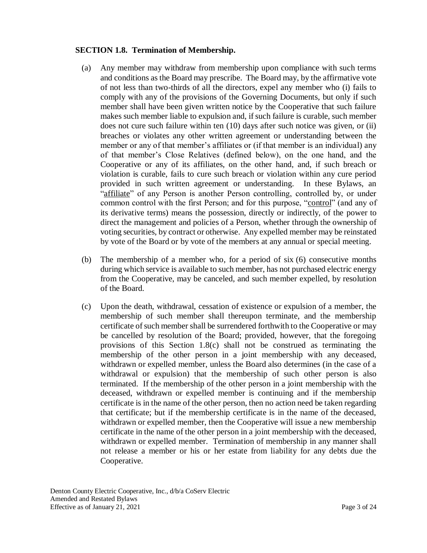### **SECTION 1.8. Termination of Membership.**

- (a) Any member may withdraw from membership upon compliance with such terms and conditions as the Board may prescribe. The Board may, by the affirmative vote of not less than two-thirds of all the directors, expel any member who (i) fails to comply with any of the provisions of the Governing Documents, but only if such member shall have been given written notice by the Cooperative that such failure makes such member liable to expulsion and, if such failure is curable, such member does not cure such failure within ten (10) days after such notice was given, or (ii) breaches or violates any other written agreement or understanding between the member or any of that member's affiliates or (if that member is an individual) any of that member's Close Relatives (defined below), on the one hand, and the Cooperative or any of its affiliates, on the other hand, and, if such breach or violation is curable, fails to cure such breach or violation within any cure period provided in such written agreement or understanding. In these Bylaws, an "affiliate" of any Person is another Person controlling, controlled by, or under common control with the first Person; and for this purpose, "control" (and any of its derivative terms) means the possession, directly or indirectly, of the power to direct the management and policies of a Person, whether through the ownership of voting securities, by contract or otherwise. Any expelled member may be reinstated by vote of the Board or by vote of the members at any annual or special meeting.
- (b) The membership of a member who, for a period of six (6) consecutive months during which service is available to such member, has not purchased electric energy from the Cooperative, may be canceled, and such member expelled, by resolution of the Board.
- (c) Upon the death, withdrawal, cessation of existence or expulsion of a member, the membership of such member shall thereupon terminate, and the membership certificate of such member shall be surrendered forthwith to the Cooperative or may be cancelled by resolution of the Board; provided, however, that the foregoing provisions of this Section 1.8(c) shall not be construed as terminating the membership of the other person in a joint membership with any deceased, withdrawn or expelled member, unless the Board also determines (in the case of a withdrawal or expulsion) that the membership of such other person is also terminated. If the membership of the other person in a joint membership with the deceased, withdrawn or expelled member is continuing and if the membership certificate is in the name of the other person, then no action need be taken regarding that certificate; but if the membership certificate is in the name of the deceased, withdrawn or expelled member, then the Cooperative will issue a new membership certificate in the name of the other person in a joint membership with the deceased, withdrawn or expelled member. Termination of membership in any manner shall not release a member or his or her estate from liability for any debts due the Cooperative.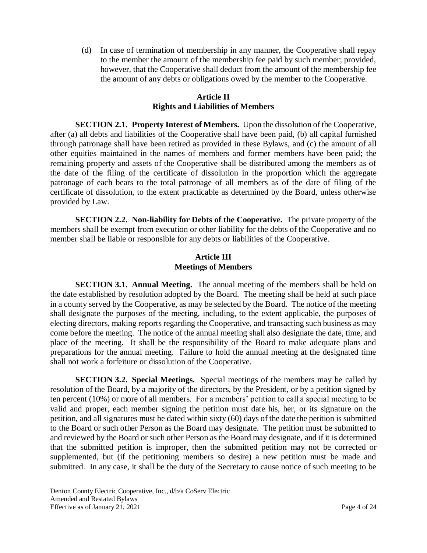(d) In case of termination of membership in any manner, the Cooperative shall repay to the member the amount of the membership fee paid by such member; provided, however, that the Cooperative shall deduct from the amount of the membership fee the amount of any debts or obligations owed by the member to the Cooperative.

### **Article II Rights and Liabilities of Members**

**SECTION 2.1. Property Interest of Members.** Upon the dissolution of the Cooperative, after (a) all debts and liabilities of the Cooperative shall have been paid, (b) all capital furnished through patronage shall have been retired as provided in these Bylaws, and (c) the amount of all other equities maintained in the names of members and former members have been paid; the remaining property and assets of the Cooperative shall be distributed among the members as of the date of the filing of the certificate of dissolution in the proportion which the aggregate patronage of each bears to the total patronage of all members as of the date of filing of the certificate of dissolution, to the extent practicable as determined by the Board, unless otherwise provided by Law.

**SECTION 2.2. Non-liability for Debts of the Cooperative.** The private property of the members shall be exempt from execution or other liability for the debts of the Cooperative and no member shall be liable or responsible for any debts or liabilities of the Cooperative.

## **Article III Meetings of Members**

**SECTION 3.1. Annual Meeting.** The annual meeting of the members shall be held on the date established by resolution adopted by the Board. The meeting shall be held at such place in a county served by the Cooperative, as may be selected by the Board. The notice of the meeting shall designate the purposes of the meeting, including, to the extent applicable, the purposes of electing directors, making reports regarding the Cooperative, and transacting such business as may come before the meeting. The notice of the annual meeting shall also designate the date, time, and place of the meeting. It shall be the responsibility of the Board to make adequate plans and preparations for the annual meeting. Failure to hold the annual meeting at the designated time shall not work a forfeiture or dissolution of the Cooperative.

**SECTION 3.2. Special Meetings.** Special meetings of the members may be called by resolution of the Board, by a majority of the directors, by the President, or by a petition signed by ten percent (10%) or more of all members. For a members' petition to call a special meeting to be valid and proper, each member signing the petition must date his, her, or its signature on the petition, and all signatures must be dated within sixty (60) days of the date the petition is submitted to the Board or such other Person as the Board may designate. The petition must be submitted to and reviewed by the Board or such other Person as the Board may designate, and if it is determined that the submitted petition is improper, then the submitted petition may not be corrected or supplemented, but (if the petitioning members so desire) a new petition must be made and submitted. In any case, it shall be the duty of the Secretary to cause notice of such meeting to be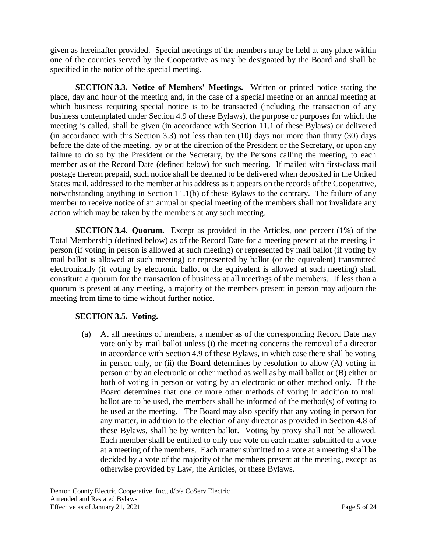given as hereinafter provided. Special meetings of the members may be held at any place within one of the counties served by the Cooperative as may be designated by the Board and shall be specified in the notice of the special meeting.

**SECTION 3.3. Notice of Members' Meetings.** Written or printed notice stating the place, day and hour of the meeting and, in the case of a special meeting or an annual meeting at which business requiring special notice is to be transacted (including the transaction of any business contemplated under Section 4.9 of these Bylaws), the purpose or purposes for which the meeting is called, shall be given (in accordance with Section 11.1 of these Bylaws) or delivered (in accordance with this Section 3.3) not less than ten  $(10)$  days nor more than thirty  $(30)$  days before the date of the meeting, by or at the direction of the President or the Secretary, or upon any failure to do so by the President or the Secretary, by the Persons calling the meeting, to each member as of the Record Date (defined below) for such meeting. If mailed with first-class mail postage thereon prepaid, such notice shall be deemed to be delivered when deposited in the United States mail, addressed to the member at his address as it appears on the records of the Cooperative, notwithstanding anything in Section 11.1(b) of these Bylaws to the contrary. The failure of any member to receive notice of an annual or special meeting of the members shall not invalidate any action which may be taken by the members at any such meeting.

**SECTION 3.4. Quorum.** Except as provided in the Articles, one percent (1%) of the Total Membership (defined below) as of the Record Date for a meeting present at the meeting in person (if voting in person is allowed at such meeting) or represented by mail ballot (if voting by mail ballot is allowed at such meeting) or represented by ballot (or the equivalent) transmitted electronically (if voting by electronic ballot or the equivalent is allowed at such meeting) shall constitute a quorum for the transaction of business at all meetings of the members. If less than a quorum is present at any meeting, a majority of the members present in person may adjourn the meeting from time to time without further notice.

# **SECTION 3.5. Voting.**

(a) At all meetings of members, a member as of the corresponding Record Date may vote only by mail ballot unless (i) the meeting concerns the removal of a director in accordance with Section 4.9 of these Bylaws, in which case there shall be voting in person only, or (ii) the Board determines by resolution to allow (A) voting in person or by an electronic or other method as well as by mail ballot or (B) either or both of voting in person or voting by an electronic or other method only. If the Board determines that one or more other methods of voting in addition to mail ballot are to be used, the members shall be informed of the method(s) of voting to be used at the meeting. The Board may also specify that any voting in person for any matter, in addition to the election of any director as provided in Section 4.8 of these Bylaws, shall be by written ballot. Voting by proxy shall not be allowed. Each member shall be entitled to only one vote on each matter submitted to a vote at a meeting of the members. Each matter submitted to a vote at a meeting shall be decided by a vote of the majority of the members present at the meeting, except as otherwise provided by Law, the Articles, or these Bylaws.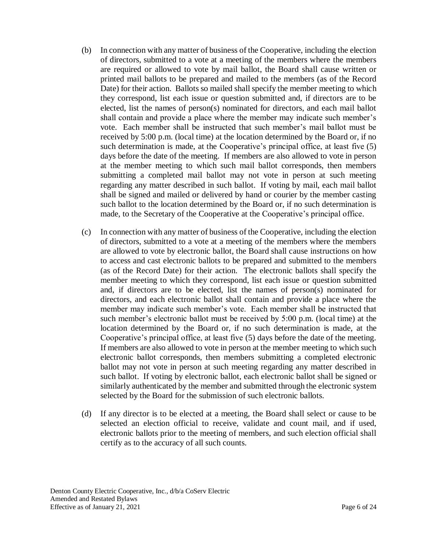- (b) In connection with any matter of business of the Cooperative, including the election of directors, submitted to a vote at a meeting of the members where the members are required or allowed to vote by mail ballot, the Board shall cause written or printed mail ballots to be prepared and mailed to the members (as of the Record Date) for their action. Ballots so mailed shall specify the member meeting to which they correspond, list each issue or question submitted and, if directors are to be elected, list the names of person(s) nominated for directors, and each mail ballot shall contain and provide a place where the member may indicate such member's vote. Each member shall be instructed that such member's mail ballot must be received by 5:00 p.m. (local time) at the location determined by the Board or, if no such determination is made, at the Cooperative's principal office, at least five (5) days before the date of the meeting. If members are also allowed to vote in person at the member meeting to which such mail ballot corresponds, then members submitting a completed mail ballot may not vote in person at such meeting regarding any matter described in such ballot. If voting by mail, each mail ballot shall be signed and mailed or delivered by hand or courier by the member casting such ballot to the location determined by the Board or, if no such determination is made, to the Secretary of the Cooperative at the Cooperative's principal office.
- (c) In connection with any matter of business of the Cooperative, including the election of directors, submitted to a vote at a meeting of the members where the members are allowed to vote by electronic ballot, the Board shall cause instructions on how to access and cast electronic ballots to be prepared and submitted to the members (as of the Record Date) for their action. The electronic ballots shall specify the member meeting to which they correspond, list each issue or question submitted and, if directors are to be elected, list the names of person(s) nominated for directors, and each electronic ballot shall contain and provide a place where the member may indicate such member's vote. Each member shall be instructed that such member's electronic ballot must be received by 5:00 p.m. (local time) at the location determined by the Board or, if no such determination is made, at the Cooperative's principal office, at least five (5) days before the date of the meeting. If members are also allowed to vote in person at the member meeting to which such electronic ballot corresponds, then members submitting a completed electronic ballot may not vote in person at such meeting regarding any matter described in such ballot. If voting by electronic ballot, each electronic ballot shall be signed or similarly authenticated by the member and submitted through the electronic system selected by the Board for the submission of such electronic ballots.
- (d) If any director is to be elected at a meeting, the Board shall select or cause to be selected an election official to receive, validate and count mail, and if used, electronic ballots prior to the meeting of members, and such election official shall certify as to the accuracy of all such counts.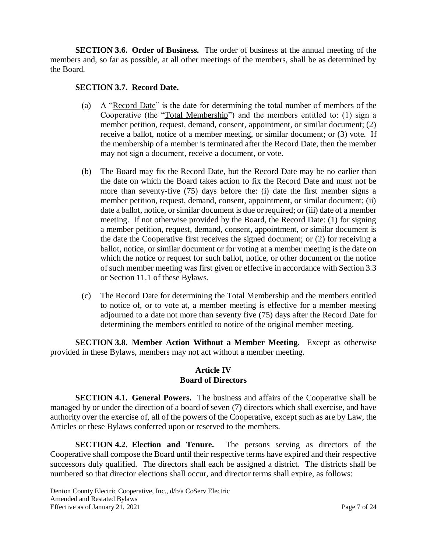**SECTION 3.6. Order of Business.** The order of business at the annual meeting of the members and, so far as possible, at all other meetings of the members, shall be as determined by the Board.

### **SECTION 3.7. Record Date.**

- (a) A "Record Date" is the date for determining the total number of members of the Cooperative (the "Total Membership") and the members entitled to: (1) sign a member petition, request, demand, consent, appointment, or similar document; (2) receive a ballot, notice of a member meeting, or similar document; or (3) vote. If the membership of a member is terminated after the Record Date, then the member may not sign a document, receive a document, or vote.
- (b) The Board may fix the Record Date, but the Record Date may be no earlier than the date on which the Board takes action to fix the Record Date and must not be more than seventy-five (75) days before the: (i) date the first member signs a member petition, request, demand, consent, appointment, or similar document; (ii) date a ballot, notice, or similar document is due or required; or (iii) date of a member meeting. If not otherwise provided by the Board, the Record Date: (1) for signing a member petition, request, demand, consent, appointment, or similar document is the date the Cooperative first receives the signed document; or (2) for receiving a ballot, notice, or similar document or for voting at a member meeting is the date on which the notice or request for such ballot, notice, or other document or the notice of such member meeting was first given or effective in accordance with Section 3.3 or Section 11.1 of these Bylaws.
- (c) The Record Date for determining the Total Membership and the members entitled to notice of, or to vote at, a member meeting is effective for a member meeting adjourned to a date not more than seventy five (75) days after the Record Date for determining the members entitled to notice of the original member meeting.

**SECTION 3.8. Member Action Without a Member Meeting.** Except as otherwise provided in these Bylaws, members may not act without a member meeting.

### **Article IV Board of Directors**

**SECTION 4.1. General Powers.** The business and affairs of the Cooperative shall be managed by or under the direction of a board of seven (7) directors which shall exercise, and have authority over the exercise of, all of the powers of the Cooperative, except such as are by Law, the Articles or these Bylaws conferred upon or reserved to the members.

**SECTION 4.2. Election and Tenure.** The persons serving as directors of the Cooperative shall compose the Board until their respective terms have expired and their respective successors duly qualified. The directors shall each be assigned a district. The districts shall be numbered so that director elections shall occur, and director terms shall expire, as follows: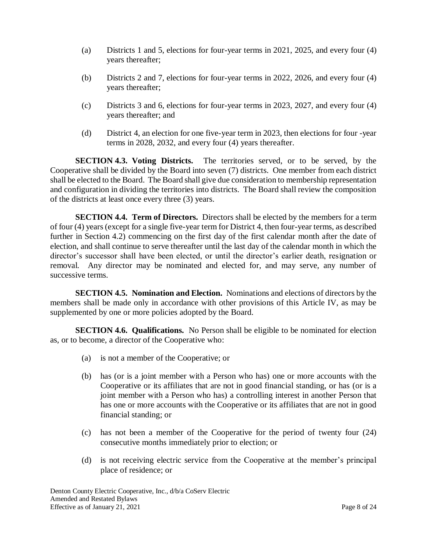- (a) Districts 1 and 5, elections for four-year terms in 2021, 2025, and every four (4) years thereafter;
- (b) Districts 2 and 7, elections for four-year terms in 2022, 2026, and every four (4) years thereafter;
- (c) Districts 3 and 6, elections for four-year terms in 2023, 2027, and every four (4) years thereafter; and
- (d) District 4, an election for one five-year term in 2023, then elections for four -year terms in 2028, 2032, and every four (4) years thereafter.

**SECTION 4.3. Voting Districts.** The territories served, or to be served, by the Cooperative shall be divided by the Board into seven (7) districts. One member from each district shall be elected to the Board. The Board shall give due consideration to membership representation and configuration in dividing the territories into districts. The Board shall review the composition of the districts at least once every three (3) years.

**SECTION 4.4. Term of Directors.** Directors shall be elected by the members for a term of four (4) years (except for a single five-year term for District 4, then four-year terms, as described further in Section 4.2) commencing on the first day of the first calendar month after the date of election, and shall continue to serve thereafter until the last day of the calendar month in which the director's successor shall have been elected, or until the director's earlier death, resignation or removal. Any director may be nominated and elected for, and may serve, any number of successive terms.

**SECTION 4.5. Nomination and Election.** Nominations and elections of directors by the members shall be made only in accordance with other provisions of this Article IV, as may be supplemented by one or more policies adopted by the Board.

**SECTION 4.6. Qualifications.** No Person shall be eligible to be nominated for election as, or to become, a director of the Cooperative who:

- (a) is not a member of the Cooperative; or
- (b) has (or is a joint member with a Person who has) one or more accounts with the Cooperative or its affiliates that are not in good financial standing, or has (or is a joint member with a Person who has) a controlling interest in another Person that has one or more accounts with the Cooperative or its affiliates that are not in good financial standing; or
- (c) has not been a member of the Cooperative for the period of twenty four (24) consecutive months immediately prior to election; or
- (d) is not receiving electric service from the Cooperative at the member's principal place of residence; or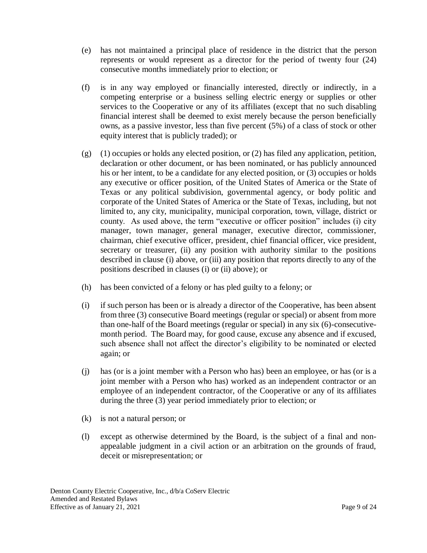- (e) has not maintained a principal place of residence in the district that the person represents or would represent as a director for the period of twenty four (24) consecutive months immediately prior to election; or
- (f) is in any way employed or financially interested, directly or indirectly, in a competing enterprise or a business selling electric energy or supplies or other services to the Cooperative or any of its affiliates (except that no such disabling financial interest shall be deemed to exist merely because the person beneficially owns, as a passive investor, less than five percent (5%) of a class of stock or other equity interest that is publicly traded); or
- (g) (1) occupies or holds any elected position, or (2) has filed any application, petition, declaration or other document, or has been nominated, or has publicly announced his or her intent, to be a candidate for any elected position, or (3) occupies or holds any executive or officer position, of the United States of America or the State of Texas or any political subdivision, governmental agency, or body politic and corporate of the United States of America or the State of Texas, including, but not limited to, any city, municipality, municipal corporation, town, village, district or county. As used above, the term "executive or officer position" includes (i) city manager, town manager, general manager, executive director, commissioner, chairman, chief executive officer, president, chief financial officer, vice president, secretary or treasurer, (ii) any position with authority similar to the positions described in clause (i) above, or (iii) any position that reports directly to any of the positions described in clauses (i) or (ii) above); or
- (h) has been convicted of a felony or has pled guilty to a felony; or
- (i) if such person has been or is already a director of the Cooperative, has been absent from three (3) consecutive Board meetings (regular or special) or absent from more than one-half of the Board meetings (regular or special) in any six (6)-consecutivemonth period. The Board may, for good cause, excuse any absence and if excused, such absence shall not affect the director's eligibility to be nominated or elected again; or
- (j) has (or is a joint member with a Person who has) been an employee, or has (or is a joint member with a Person who has) worked as an independent contractor or an employee of an independent contractor, of the Cooperative or any of its affiliates during the three (3) year period immediately prior to election; or
- (k) is not a natural person; or
- (l) except as otherwise determined by the Board, is the subject of a final and nonappealable judgment in a civil action or an arbitration on the grounds of fraud, deceit or misrepresentation; or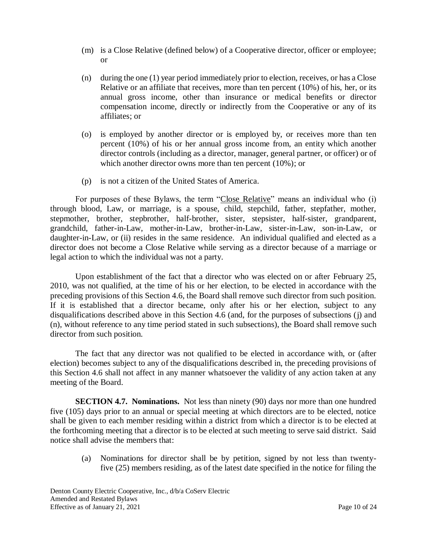- (m) is a Close Relative (defined below) of a Cooperative director, officer or employee; or
- (n) during the one (1) year period immediately prior to election, receives, or has a Close Relative or an affiliate that receives, more than ten percent (10%) of his, her, or its annual gross income, other than insurance or medical benefits or director compensation income, directly or indirectly from the Cooperative or any of its affiliates; or
- (o) is employed by another director or is employed by, or receives more than ten percent (10%) of his or her annual gross income from, an entity which another director controls (including as a director, manager, general partner, or officer) or of which another director owns more than ten percent (10%); or
- (p) is not a citizen of the United States of America.

For purposes of these Bylaws, the term "Close Relative" means an individual who (i) through blood, Law, or marriage, is a spouse, child, stepchild, father, stepfather, mother, stepmother, brother, stepbrother, half-brother, sister, stepsister, half-sister, grandparent, grandchild, father-in-Law, mother-in-Law, brother-in-Law, sister-in-Law, son-in-Law, or daughter-in-Law, or (ii) resides in the same residence. An individual qualified and elected as a director does not become a Close Relative while serving as a director because of a marriage or legal action to which the individual was not a party.

Upon establishment of the fact that a director who was elected on or after February 25, 2010, was not qualified, at the time of his or her election, to be elected in accordance with the preceding provisions of this Section 4.6, the Board shall remove such director from such position. If it is established that a director became, only after his or her election, subject to any disqualifications described above in this Section 4.6 (and, for the purposes of subsections (j) and (n), without reference to any time period stated in such subsections), the Board shall remove such director from such position.

The fact that any director was not qualified to be elected in accordance with, or (after election) becomes subject to any of the disqualifications described in, the preceding provisions of this Section 4.6 shall not affect in any manner whatsoever the validity of any action taken at any meeting of the Board.

**SECTION 4.7. Nominations.** Not less than ninety (90) days nor more than one hundred five (105) days prior to an annual or special meeting at which directors are to be elected, notice shall be given to each member residing within a district from which a director is to be elected at the forthcoming meeting that a director is to be elected at such meeting to serve said district. Said notice shall advise the members that:

(a) Nominations for director shall be by petition, signed by not less than twentyfive (25) members residing, as of the latest date specified in the notice for filing the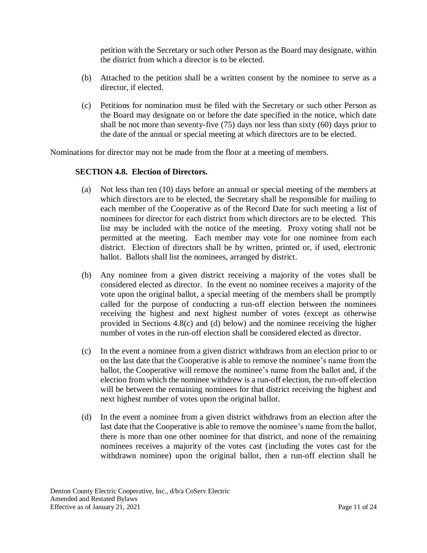petition with the Secretary or such other Person as the Board may designate, within the district from which a director is to be elected.

- (b) Attached to the petition shall be a written consent by the nominee to serve as a director, if elected.
- (c) Petitions for nomination must be filed with the Secretary or such other Person as the Board may designate on or before the date specified in the notice, which date shall be not more than seventy-five (75) days nor less than sixty (60) days prior to the date of the annual or special meeting at which directors are to be elected.

Nominations for director may not be made from the floor at a meeting of members.

### **SECTION 4.8. Election of Directors.**

- (a) Not less than ten (10) days before an annual or special meeting of the members at which directors are to be elected, the Secretary shall be responsible for mailing to each member of the Cooperative as of the Record Date for such meeting a list of nominees for director for each district from which directors are to be elected. This list may be included with the notice of the meeting. Proxy voting shall not be permitted at the meeting. Each member may vote for one nominee from each district. Election of directors shall be by written, printed or, if used, electronic ballot. Ballots shall list the nominees, arranged by district.
- (b) Any nominee from a given district receiving a majority of the votes shall be considered elected as director. In the event no nominee receives a majority of the vote upon the original ballot, a special meeting of the members shall be promptly called for the purpose of conducting a run-off election between the nominees receiving the highest and next highest number of votes (except as otherwise provided in Sections 4.8(c) and (d) below) and the nominee receiving the higher number of votes in the run-off election shall be considered elected as director.
- (c) In the event a nominee from a given district withdraws from an election prior to or on the last date that the Cooperative is able to remove the nominee's name from the ballot, the Cooperative will remove the nominee's name from the ballot and, if the election from which the nominee withdrew is a run-off election, the run-off election will be between the remaining nominees for that district receiving the highest and next highest number of votes upon the original ballot.
- (d) In the event a nominee from a given district withdraws from an election after the last date that the Cooperative is able to remove the nominee's name from the ballot, there is more than one other nominee for that district, and none of the remaining nominees receives a majority of the votes cast (including the votes cast for the withdrawn nominee) upon the original ballot, then a run-off election shall be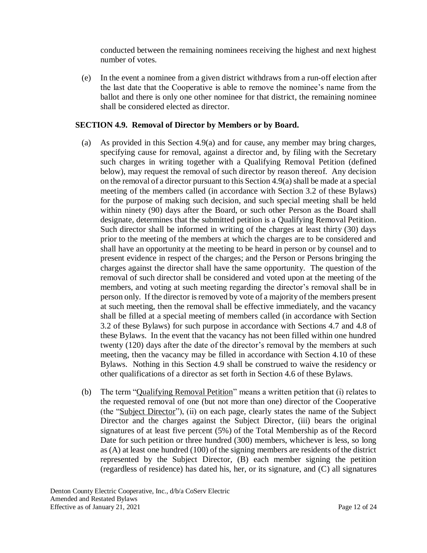conducted between the remaining nominees receiving the highest and next highest number of votes.

(e) In the event a nominee from a given district withdraws from a run-off election after the last date that the Cooperative is able to remove the nominee's name from the ballot and there is only one other nominee for that district, the remaining nominee shall be considered elected as director.

### **SECTION 4.9. Removal of Director by Members or by Board.**

- (a) As provided in this Section 4.9(a) and for cause, any member may bring charges, specifying cause for removal, against a director and, by filing with the Secretary such charges in writing together with a Qualifying Removal Petition (defined below), may request the removal of such director by reason thereof. Any decision on the removal of a director pursuant to this Section 4.9(a) shall be made at a special meeting of the members called (in accordance with Section 3.2 of these Bylaws) for the purpose of making such decision, and such special meeting shall be held within ninety (90) days after the Board, or such other Person as the Board shall designate, determines that the submitted petition is a Qualifying Removal Petition. Such director shall be informed in writing of the charges at least thirty (30) days prior to the meeting of the members at which the charges are to be considered and shall have an opportunity at the meeting to be heard in person or by counsel and to present evidence in respect of the charges; and the Person or Persons bringing the charges against the director shall have the same opportunity. The question of the removal of such director shall be considered and voted upon at the meeting of the members, and voting at such meeting regarding the director's removal shall be in person only. If the director is removed by vote of a majority of the members present at such meeting, then the removal shall be effective immediately, and the vacancy shall be filled at a special meeting of members called (in accordance with Section 3.2 of these Bylaws) for such purpose in accordance with Sections 4.7 and 4.8 of these Bylaws. In the event that the vacancy has not been filled within one hundred twenty (120) days after the date of the director's removal by the members at such meeting, then the vacancy may be filled in accordance with Section 4.10 of these Bylaws. Nothing in this Section 4.9 shall be construed to waive the residency or other qualifications of a director as set forth in Section 4.6 of these Bylaws.
- (b) The term "Qualifying Removal Petition" means a written petition that (i) relates to the requested removal of one (but not more than one) director of the Cooperative (the "Subject Director"), (ii) on each page, clearly states the name of the Subject Director and the charges against the Subject Director, (iii) bears the original signatures of at least five percent (5%) of the Total Membership as of the Record Date for such petition or three hundred (300) members, whichever is less, so long as (A) at least one hundred (100) of the signing members are residents of the district represented by the Subject Director, (B) each member signing the petition (regardless of residence) has dated his, her, or its signature, and (C) all signatures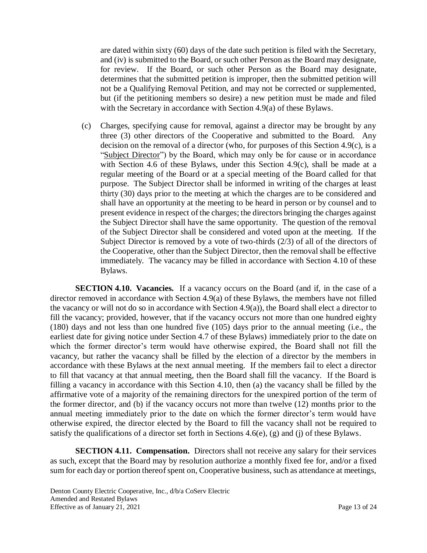are dated within sixty (60) days of the date such petition is filed with the Secretary, and (iv) is submitted to the Board, or such other Person as the Board may designate, for review. If the Board, or such other Person as the Board may designate, determines that the submitted petition is improper, then the submitted petition will not be a Qualifying Removal Petition, and may not be corrected or supplemented, but (if the petitioning members so desire) a new petition must be made and filed with the Secretary in accordance with Section 4.9(a) of these Bylaws.

(c) Charges, specifying cause for removal, against a director may be brought by any three (3) other directors of the Cooperative and submitted to the Board. Any decision on the removal of a director (who, for purposes of this Section 4.9(c), is a "Subject Director") by the Board, which may only be for cause or in accordance with Section 4.6 of these Bylaws, under this Section 4.9(c), shall be made at a regular meeting of the Board or at a special meeting of the Board called for that purpose. The Subject Director shall be informed in writing of the charges at least thirty (30) days prior to the meeting at which the charges are to be considered and shall have an opportunity at the meeting to be heard in person or by counsel and to present evidence in respect of the charges; the directors bringing the charges against the Subject Director shall have the same opportunity. The question of the removal of the Subject Director shall be considered and voted upon at the meeting. If the Subject Director is removed by a vote of two-thirds (2/3) of all of the directors of the Cooperative, other than the Subject Director, then the removal shall be effective immediately. The vacancy may be filled in accordance with Section 4.10 of these Bylaws.

**SECTION 4.10. Vacancies.** If a vacancy occurs on the Board (and if, in the case of a director removed in accordance with Section 4.9(a) of these Bylaws, the members have not filled the vacancy or will not do so in accordance with Section 4.9(a)), the Board shall elect a director to fill the vacancy; provided, however, that if the vacancy occurs not more than one hundred eighty (180) days and not less than one hundred five (105) days prior to the annual meeting (i.e., the earliest date for giving notice under Section 4.7 of these Bylaws) immediately prior to the date on which the former director's term would have otherwise expired, the Board shall not fill the vacancy, but rather the vacancy shall be filled by the election of a director by the members in accordance with these Bylaws at the next annual meeting. If the members fail to elect a director to fill that vacancy at that annual meeting, then the Board shall fill the vacancy. If the Board is filling a vacancy in accordance with this Section 4.10, then (a) the vacancy shall be filled by the affirmative vote of a majority of the remaining directors for the unexpired portion of the term of the former director, and (b) if the vacancy occurs not more than twelve (12) months prior to the annual meeting immediately prior to the date on which the former director's term would have otherwise expired, the director elected by the Board to fill the vacancy shall not be required to satisfy the qualifications of a director set forth in Sections 4.6(e), (g) and (j) of these Bylaws.

**SECTION 4.11. Compensation.** Directors shall not receive any salary for their services as such, except that the Board may by resolution authorize a monthly fixed fee for, and/or a fixed sum for each day or portion thereof spent on, Cooperative business, such as attendance at meetings,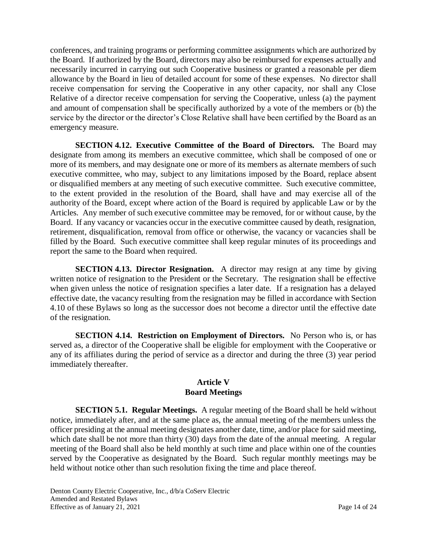conferences, and training programs or performing committee assignments which are authorized by the Board. If authorized by the Board, directors may also be reimbursed for expenses actually and necessarily incurred in carrying out such Cooperative business or granted a reasonable per diem allowance by the Board in lieu of detailed account for some of these expenses. No director shall receive compensation for serving the Cooperative in any other capacity, nor shall any Close Relative of a director receive compensation for serving the Cooperative, unless (a) the payment and amount of compensation shall be specifically authorized by a vote of the members or (b) the service by the director or the director's Close Relative shall have been certified by the Board as an emergency measure.

**SECTION 4.12. Executive Committee of the Board of Directors.** The Board may designate from among its members an executive committee, which shall be composed of one or more of its members, and may designate one or more of its members as alternate members of such executive committee, who may, subject to any limitations imposed by the Board, replace absent or disqualified members at any meeting of such executive committee. Such executive committee, to the extent provided in the resolution of the Board, shall have and may exercise all of the authority of the Board, except where action of the Board is required by applicable Law or by the Articles. Any member of such executive committee may be removed, for or without cause, by the Board. If any vacancy or vacancies occur in the executive committee caused by death, resignation, retirement, disqualification, removal from office or otherwise, the vacancy or vacancies shall be filled by the Board. Such executive committee shall keep regular minutes of its proceedings and report the same to the Board when required.

**SECTION 4.13. Director Resignation.** A director may resign at any time by giving written notice of resignation to the President or the Secretary. The resignation shall be effective when given unless the notice of resignation specifies a later date. If a resignation has a delayed effective date, the vacancy resulting from the resignation may be filled in accordance with Section 4.10 of these Bylaws so long as the successor does not become a director until the effective date of the resignation.

**SECTION 4.14. Restriction on Employment of Directors.** No Person who is, or has served as, a director of the Cooperative shall be eligible for employment with the Cooperative or any of its affiliates during the period of service as a director and during the three (3) year period immediately thereafter.

#### **Article V Board Meetings**

**SECTION 5.1. Regular Meetings.** A regular meeting of the Board shall be held without notice, immediately after, and at the same place as, the annual meeting of the members unless the officer presiding at the annual meeting designates another date, time, and/or place for said meeting, which date shall be not more than thirty (30) days from the date of the annual meeting. A regular meeting of the Board shall also be held monthly at such time and place within one of the counties served by the Cooperative as designated by the Board. Such regular monthly meetings may be held without notice other than such resolution fixing the time and place thereof.

Denton County Electric Cooperative, Inc., d/b/a CoServ Electric Amended and Restated Bylaws Effective as of January 21, 2021 Page 14 of 24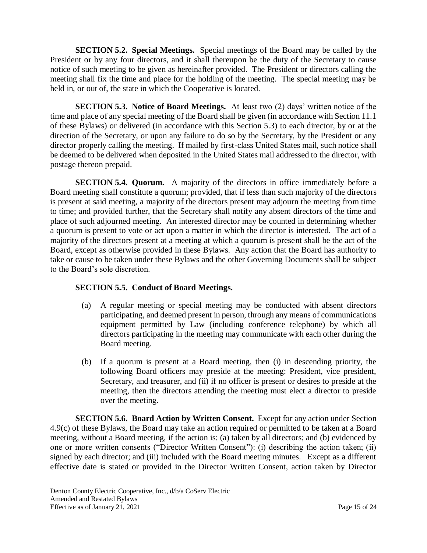**SECTION 5.2. Special Meetings.** Special meetings of the Board may be called by the President or by any four directors, and it shall thereupon be the duty of the Secretary to cause notice of such meeting to be given as hereinafter provided. The President or directors calling the meeting shall fix the time and place for the holding of the meeting. The special meeting may be held in, or out of, the state in which the Cooperative is located.

**SECTION 5.3. Notice of Board Meetings.** At least two (2) days' written notice of the time and place of any special meeting of the Board shall be given (in accordance with Section 11.1 of these Bylaws) or delivered (in accordance with this Section 5.3) to each director, by or at the direction of the Secretary, or upon any failure to do so by the Secretary, by the President or any director properly calling the meeting. If mailed by first-class United States mail, such notice shall be deemed to be delivered when deposited in the United States mail addressed to the director, with postage thereon prepaid.

**SECTION 5.4. Quorum.** A majority of the directors in office immediately before a Board meeting shall constitute a quorum; provided, that if less than such majority of the directors is present at said meeting, a majority of the directors present may adjourn the meeting from time to time; and provided further, that the Secretary shall notify any absent directors of the time and place of such adjourned meeting. An interested director may be counted in determining whether a quorum is present to vote or act upon a matter in which the director is interested. The act of a majority of the directors present at a meeting at which a quorum is present shall be the act of the Board, except as otherwise provided in these Bylaws. Any action that the Board has authority to take or cause to be taken under these Bylaws and the other Governing Documents shall be subject to the Board's sole discretion.

# **SECTION 5.5. Conduct of Board Meetings.**

- (a) A regular meeting or special meeting may be conducted with absent directors participating, and deemed present in person, through any means of communications equipment permitted by Law (including conference telephone) by which all directors participating in the meeting may communicate with each other during the Board meeting.
- (b) If a quorum is present at a Board meeting, then (i) in descending priority, the following Board officers may preside at the meeting: President, vice president, Secretary, and treasurer, and (ii) if no officer is present or desires to preside at the meeting, then the directors attending the meeting must elect a director to preside over the meeting.

**SECTION 5.6. Board Action by Written Consent.** Except for any action under Section 4.9(c) of these Bylaws, the Board may take an action required or permitted to be taken at a Board meeting, without a Board meeting, if the action is: (a) taken by all directors; and (b) evidenced by one or more written consents ("Director Written Consent"): (i) describing the action taken; (ii) signed by each director; and (iii) included with the Board meeting minutes. Except as a different effective date is stated or provided in the Director Written Consent, action taken by Director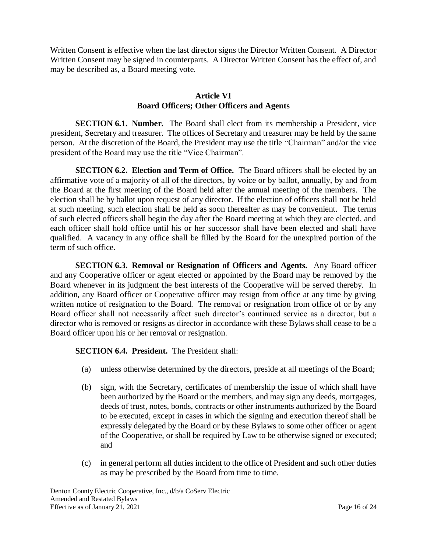Written Consent is effective when the last director signs the Director Written Consent. A Director Written Consent may be signed in counterparts. A Director Written Consent has the effect of, and may be described as, a Board meeting vote.

### **Article VI Board Officers; Other Officers and Agents**

**SECTION 6.1. Number.** The Board shall elect from its membership a President, vice president, Secretary and treasurer. The offices of Secretary and treasurer may be held by the same person. At the discretion of the Board, the President may use the title "Chairman" and/or the vice president of the Board may use the title "Vice Chairman".

**SECTION 6.2. Election and Term of Office.** The Board officers shall be elected by an affirmative vote of a majority of all of the directors, by voice or by ballot, annually, by and from the Board at the first meeting of the Board held after the annual meeting of the members. The election shall be by ballot upon request of any director. If the election of officers shall not be held at such meeting, such election shall be held as soon thereafter as may be convenient. The terms of such elected officers shall begin the day after the Board meeting at which they are elected, and each officer shall hold office until his or her successor shall have been elected and shall have qualified. A vacancy in any office shall be filled by the Board for the unexpired portion of the term of such office.

**SECTION 6.3. Removal or Resignation of Officers and Agents.** Any Board officer and any Cooperative officer or agent elected or appointed by the Board may be removed by the Board whenever in its judgment the best interests of the Cooperative will be served thereby. In addition, any Board officer or Cooperative officer may resign from office at any time by giving written notice of resignation to the Board. The removal or resignation from office of or by any Board officer shall not necessarily affect such director's continued service as a director, but a director who is removed or resigns as director in accordance with these Bylaws shall cease to be a Board officer upon his or her removal or resignation.

**SECTION 6.4. President.** The President shall:

- (a) unless otherwise determined by the directors, preside at all meetings of the Board;
- (b) sign, with the Secretary, certificates of membership the issue of which shall have been authorized by the Board or the members, and may sign any deeds, mortgages, deeds of trust, notes, bonds, contracts or other instruments authorized by the Board to be executed, except in cases in which the signing and execution thereof shall be expressly delegated by the Board or by these Bylaws to some other officer or agent of the Cooperative, or shall be required by Law to be otherwise signed or executed; and
- (c) in general perform all duties incident to the office of President and such other duties as may be prescribed by the Board from time to time.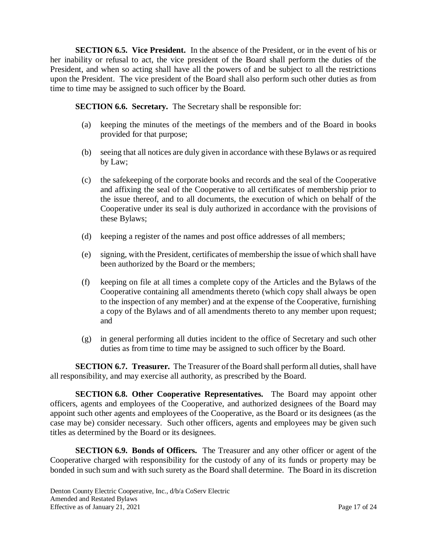**SECTION 6.5. Vice President.** In the absence of the President, or in the event of his or her inability or refusal to act, the vice president of the Board shall perform the duties of the President, and when so acting shall have all the powers of and be subject to all the restrictions upon the President. The vice president of the Board shall also perform such other duties as from time to time may be assigned to such officer by the Board.

**SECTION 6.6. Secretary.** The Secretary shall be responsible for:

- (a) keeping the minutes of the meetings of the members and of the Board in books provided for that purpose;
- (b) seeing that all notices are duly given in accordance with these Bylaws or as required by Law;
- (c) the safekeeping of the corporate books and records and the seal of the Cooperative and affixing the seal of the Cooperative to all certificates of membership prior to the issue thereof, and to all documents, the execution of which on behalf of the Cooperative under its seal is duly authorized in accordance with the provisions of these Bylaws;
- (d) keeping a register of the names and post office addresses of all members;
- (e) signing, with the President, certificates of membership the issue of which shall have been authorized by the Board or the members;
- (f) keeping on file at all times a complete copy of the Articles and the Bylaws of the Cooperative containing all amendments thereto (which copy shall always be open to the inspection of any member) and at the expense of the Cooperative, furnishing a copy of the Bylaws and of all amendments thereto to any member upon request; and
- (g) in general performing all duties incident to the office of Secretary and such other duties as from time to time may be assigned to such officer by the Board.

**SECTION 6.7. Treasurer.** The Treasurer of the Board shall perform all duties, shall have all responsibility, and may exercise all authority, as prescribed by the Board.

**SECTION 6.8. Other Cooperative Representatives.** The Board may appoint other officers, agents and employees of the Cooperative, and authorized designees of the Board may appoint such other agents and employees of the Cooperative, as the Board or its designees (as the case may be) consider necessary. Such other officers, agents and employees may be given such titles as determined by the Board or its designees.

**SECTION 6.9. Bonds of Officers.** The Treasurer and any other officer or agent of the Cooperative charged with responsibility for the custody of any of its funds or property may be bonded in such sum and with such surety as the Board shall determine. The Board in its discretion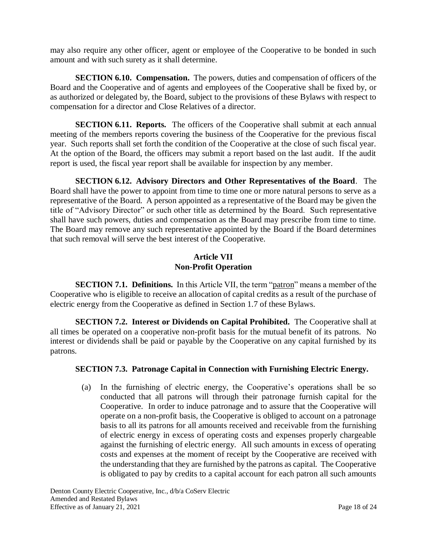may also require any other officer, agent or employee of the Cooperative to be bonded in such amount and with such surety as it shall determine.

**SECTION 6.10. Compensation.** The powers, duties and compensation of officers of the Board and the Cooperative and of agents and employees of the Cooperative shall be fixed by, or as authorized or delegated by, the Board, subject to the provisions of these Bylaws with respect to compensation for a director and Close Relatives of a director.

**SECTION 6.11. Reports.** The officers of the Cooperative shall submit at each annual meeting of the members reports covering the business of the Cooperative for the previous fiscal year. Such reports shall set forth the condition of the Cooperative at the close of such fiscal year. At the option of the Board, the officers may submit a report based on the last audit. If the audit report is used, the fiscal year report shall be available for inspection by any member.

**SECTION 6.12. Advisory Directors and Other Representatives of the Board**. The Board shall have the power to appoint from time to time one or more natural persons to serve as a representative of the Board. A person appointed as a representative of the Board may be given the title of "Advisory Director" or such other title as determined by the Board. Such representative shall have such powers, duties and compensation as the Board may prescribe from time to time. The Board may remove any such representative appointed by the Board if the Board determines that such removal will serve the best interest of the Cooperative.

# **Article VII Non-Profit Operation**

**SECTION 7.1. Definitions.** In this Article VII, the term "patron" means a member of the Cooperative who is eligible to receive an allocation of capital credits as a result of the purchase of electric energy from the Cooperative as defined in Section 1.7 of these Bylaws.

**SECTION 7.2. Interest or Dividends on Capital Prohibited.** The Cooperative shall at all times be operated on a cooperative non-profit basis for the mutual benefit of its patrons. No interest or dividends shall be paid or payable by the Cooperative on any capital furnished by its patrons.

# **SECTION 7.3. Patronage Capital in Connection with Furnishing Electric Energy.**

(a) In the furnishing of electric energy, the Cooperative's operations shall be so conducted that all patrons will through their patronage furnish capital for the Cooperative. In order to induce patronage and to assure that the Cooperative will operate on a non-profit basis, the Cooperative is obliged to account on a patronage basis to all its patrons for all amounts received and receivable from the furnishing of electric energy in excess of operating costs and expenses properly chargeable against the furnishing of electric energy. All such amounts in excess of operating costs and expenses at the moment of receipt by the Cooperative are received with the understanding that they are furnished by the patrons as capital. The Cooperative is obligated to pay by credits to a capital account for each patron all such amounts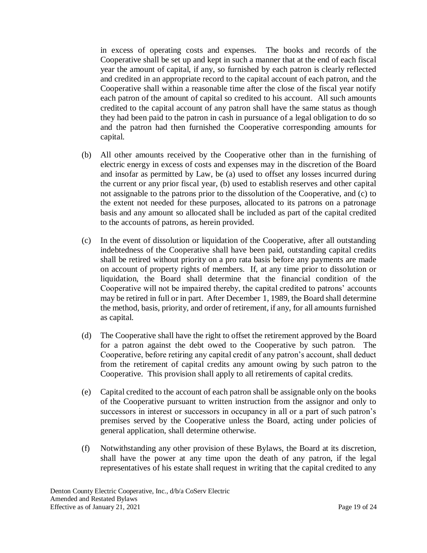in excess of operating costs and expenses. The books and records of the Cooperative shall be set up and kept in such a manner that at the end of each fiscal year the amount of capital, if any, so furnished by each patron is clearly reflected and credited in an appropriate record to the capital account of each patron, and the Cooperative shall within a reasonable time after the close of the fiscal year notify each patron of the amount of capital so credited to his account. All such amounts credited to the capital account of any patron shall have the same status as though they had been paid to the patron in cash in pursuance of a legal obligation to do so and the patron had then furnished the Cooperative corresponding amounts for capital.

- (b) All other amounts received by the Cooperative other than in the furnishing of electric energy in excess of costs and expenses may in the discretion of the Board and insofar as permitted by Law, be (a) used to offset any losses incurred during the current or any prior fiscal year, (b) used to establish reserves and other capital not assignable to the patrons prior to the dissolution of the Cooperative, and (c) to the extent not needed for these purposes, allocated to its patrons on a patronage basis and any amount so allocated shall be included as part of the capital credited to the accounts of patrons, as herein provided.
- (c) In the event of dissolution or liquidation of the Cooperative, after all outstanding indebtedness of the Cooperative shall have been paid, outstanding capital credits shall be retired without priority on a pro rata basis before any payments are made on account of property rights of members. If, at any time prior to dissolution or liquidation, the Board shall determine that the financial condition of the Cooperative will not be impaired thereby, the capital credited to patrons' accounts may be retired in full or in part. After December 1, 1989, the Board shall determine the method, basis, priority, and order of retirement, if any, for all amounts furnished as capital.
- (d) The Cooperative shall have the right to offset the retirement approved by the Board for a patron against the debt owed to the Cooperative by such patron. The Cooperative, before retiring any capital credit of any patron's account, shall deduct from the retirement of capital credits any amount owing by such patron to the Cooperative. This provision shall apply to all retirements of capital credits.
- (e) Capital credited to the account of each patron shall be assignable only on the books of the Cooperative pursuant to written instruction from the assignor and only to successors in interest or successors in occupancy in all or a part of such patron's premises served by the Cooperative unless the Board, acting under policies of general application, shall determine otherwise.
- (f) Notwithstanding any other provision of these Bylaws, the Board at its discretion, shall have the power at any time upon the death of any patron, if the legal representatives of his estate shall request in writing that the capital credited to any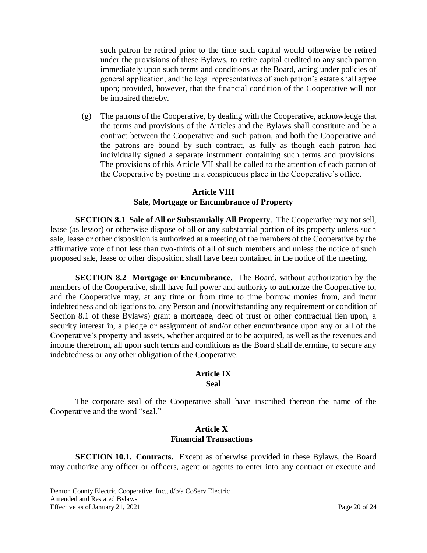such patron be retired prior to the time such capital would otherwise be retired under the provisions of these Bylaws, to retire capital credited to any such patron immediately upon such terms and conditions as the Board, acting under policies of general application, and the legal representatives of such patron's estate shall agree upon; provided, however, that the financial condition of the Cooperative will not be impaired thereby.

(g) The patrons of the Cooperative, by dealing with the Cooperative, acknowledge that the terms and provisions of the Articles and the Bylaws shall constitute and be a contract between the Cooperative and such patron, and both the Cooperative and the patrons are bound by such contract, as fully as though each patron had individually signed a separate instrument containing such terms and provisions. The provisions of this Article VII shall be called to the attention of each patron of the Cooperative by posting in a conspicuous place in the Cooperative's office.

# **Article VIII**

#### **Sale, Mortgage or Encumbrance of Property**

**SECTION 8.1 Sale of All or Substantially All Property**. The Cooperative may not sell, lease (as lessor) or otherwise dispose of all or any substantial portion of its property unless such sale, lease or other disposition is authorized at a meeting of the members of the Cooperative by the affirmative vote of not less than two-thirds of all of such members and unless the notice of such proposed sale, lease or other disposition shall have been contained in the notice of the meeting.

**SECTION 8.2 Mortgage or Encumbrance**. The Board, without authorization by the members of the Cooperative, shall have full power and authority to authorize the Cooperative to, and the Cooperative may, at any time or from time to time borrow monies from, and incur indebtedness and obligations to, any Person and (notwithstanding any requirement or condition of Section 8.1 of these Bylaws) grant a mortgage, deed of trust or other contractual lien upon, a security interest in, a pledge or assignment of and/or other encumbrance upon any or all of the Cooperative's property and assets, whether acquired or to be acquired, as well as the revenues and income therefrom, all upon such terms and conditions as the Board shall determine, to secure any indebtedness or any other obligation of the Cooperative.

### **Article IX Seal**

The corporate seal of the Cooperative shall have inscribed thereon the name of the Cooperative and the word "seal."

### **Article X Financial Transactions**

**SECTION 10.1. Contracts.** Except as otherwise provided in these Bylaws, the Board may authorize any officer or officers, agent or agents to enter into any contract or execute and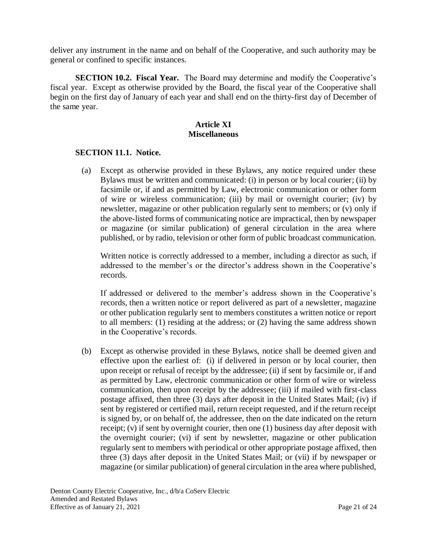deliver any instrument in the name and on behalf of the Cooperative, and such authority may be general or confined to specific instances.

**SECTION 10.2. Fiscal Year.** The Board may determine and modify the Cooperative's fiscal year. Except as otherwise provided by the Board, the fiscal year of the Cooperative shall begin on the first day of January of each year and shall end on the thirty-first day of December of the same year.

## **Article XI Miscellaneous**

#### **SECTION 11.1. Notice.**

(a) Except as otherwise provided in these Bylaws, any notice required under these Bylaws must be written and communicated: (i) in person or by local courier; (ii) by facsimile or, if and as permitted by Law, electronic communication or other form of wire or wireless communication; (iii) by mail or overnight courier; (iv) by newsletter, magazine or other publication regularly sent to members; or (v) only if the above-listed forms of communicating notice are impractical, then by newspaper or magazine (or similar publication) of general circulation in the area where published, or by radio, television or other form of public broadcast communication.

Written notice is correctly addressed to a member, including a director as such, if addressed to the member's or the director's address shown in the Cooperative's records.

If addressed or delivered to the member's address shown in the Cooperative's records, then a written notice or report delivered as part of a newsletter, magazine or other publication regularly sent to members constitutes a written notice or report to all members: (1) residing at the address; or (2) having the same address shown in the Cooperative's records.

(b) Except as otherwise provided in these Bylaws, notice shall be deemed given and effective upon the earliest of: (i) if delivered in person or by local courier, then upon receipt or refusal of receipt by the addressee; (ii) if sent by facsimile or, if and as permitted by Law, electronic communication or other form of wire or wireless communication, then upon receipt by the addressee; (iii) if mailed with first-class postage affixed, then three (3) days after deposit in the United States Mail; (iv) if sent by registered or certified mail, return receipt requested, and if the return receipt is signed by, or on behalf of, the addressee, then on the date indicated on the return receipt; (v) if sent by overnight courier, then one (1) business day after deposit with the overnight courier; (vi) if sent by newsletter, magazine or other publication regularly sent to members with periodical or other appropriate postage affixed, then three (3) days after deposit in the United States Mail; or (vii) if by newspaper or magazine (or similar publication) of general circulation in the area where published,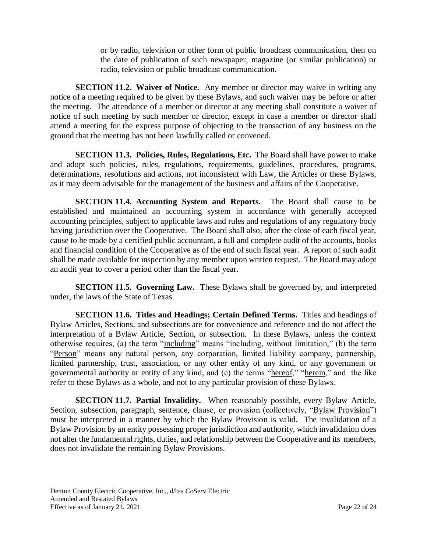or by radio, television or other form of public broadcast communication, then on the date of publication of such newspaper, magazine (or similar publication) or radio, television or public broadcast communication.

**SECTION 11.2. Waiver of Notice.** Any member or director may waive in writing any notice of a meeting required to be given by these Bylaws, and such waiver may be before or after the meeting. The attendance of a member or director at any meeting shall constitute a waiver of notice of such meeting by such member or director, except in case a member or director shall attend a meeting for the express purpose of objecting to the transaction of any business on the ground that the meeting has not been lawfully called or convened.

**SECTION 11.3. Policies, Rules, Regulations, Etc.** The Board shall have power to make and adopt such policies, rules, regulations, requirements, guidelines, procedures, programs, determinations, resolutions and actions, not inconsistent with Law, the Articles or these Bylaws, as it may deem advisable for the management of the business and affairs of the Cooperative.

**SECTION 11.4. Accounting System and Reports.** The Board shall cause to be established and maintained an accounting system in accordance with generally accepted accounting principles, subject to applicable laws and rules and regulations of any regulatory body having jurisdiction over the Cooperative. The Board shall also, after the close of each fiscal year, cause to be made by a certified public accountant, a full and complete audit of the accounts, books and financial condition of the Cooperative as of the end of such fiscal year. A report of such audit shall be made available for inspection by any member upon written request. The Board may adopt an audit year to cover a period other than the fiscal year.

**SECTION 11.5. Governing Law.** These Bylaws shall be governed by, and interpreted under, the laws of the State of Texas.

**SECTION 11.6. Titles and Headings; Certain Defined Terms.** Titles and headings of Bylaw Articles, Sections, and subsections are for convenience and reference and do not affect the interpretation of a Bylaw Article, Section, or subsection. In these Bylaws, unless the context otherwise requires, (a) the term "including" means "including, without limitation," (b) the term "Person" means any natural person, any corporation, limited liability company, partnership, limited partnership, trust, association, or any other entity of any kind, or any government or governmental authority or entity of any kind, and (c) the terms "hereof," "herein," and the like refer to these Bylaws as a whole, and not to any particular provision of these Bylaws.

**SECTION 11.7. Partial Invalidity.** When reasonably possible, every Bylaw Article, Section, subsection, paragraph, sentence, clause, or provision (collectively, "Bylaw Provision") must be interpreted in a manner by which the Bylaw Provision is valid. The invalidation of a Bylaw Provision by an entity possessing proper jurisdiction and authority, which invalidation does not alter the fundamental rights, duties, and relationship between the Cooperative and its members, does not invalidate the remaining Bylaw Provisions.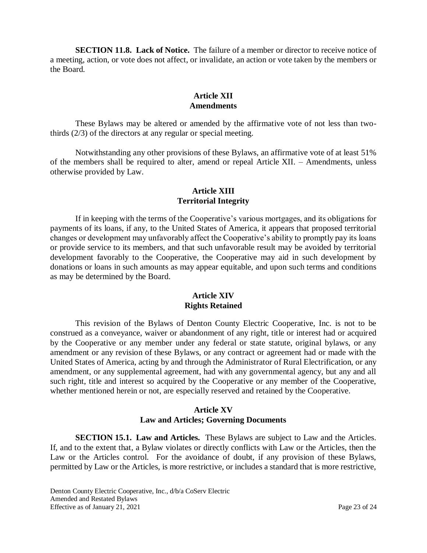**SECTION 11.8. Lack of Notice.** The failure of a member or director to receive notice of a meeting, action, or vote does not affect, or invalidate, an action or vote taken by the members or the Board.

### **Article XII Amendments**

These Bylaws may be altered or amended by the affirmative vote of not less than twothirds (2/3) of the directors at any regular or special meeting.

Notwithstanding any other provisions of these Bylaws, an affirmative vote of at least 51% of the members shall be required to alter, amend or repeal Article XII. – Amendments, unless otherwise provided by Law.

# **Article XIII Territorial Integrity**

If in keeping with the terms of the Cooperative's various mortgages, and its obligations for payments of its loans, if any, to the United States of America, it appears that proposed territorial changes or development may unfavorably affect the Cooperative's ability to promptly pay its loans or provide service to its members, and that such unfavorable result may be avoided by territorial development favorably to the Cooperative, the Cooperative may aid in such development by donations or loans in such amounts as may appear equitable, and upon such terms and conditions as may be determined by the Board.

## **Article XIV Rights Retained**

This revision of the Bylaws of Denton County Electric Cooperative, Inc. is not to be construed as a conveyance, waiver or abandonment of any right, title or interest had or acquired by the Cooperative or any member under any federal or state statute, original bylaws, or any amendment or any revision of these Bylaws, or any contract or agreement had or made with the United States of America, acting by and through the Administrator of Rural Electrification, or any amendment, or any supplemental agreement, had with any governmental agency, but any and all such right, title and interest so acquired by the Cooperative or any member of the Cooperative, whether mentioned herein or not, are especially reserved and retained by the Cooperative.

### **Article XV Law and Articles; Governing Documents**

**SECTION 15.1. Law and Articles.** These Bylaws are subject to Law and the Articles. If, and to the extent that, a Bylaw violates or directly conflicts with Law or the Articles, then the Law or the Articles control. For the avoidance of doubt, if any provision of these Bylaws, permitted by Law or the Articles, is more restrictive, or includes a standard that is more restrictive,

Denton County Electric Cooperative, Inc., d/b/a CoServ Electric Amended and Restated Bylaws Effective as of January 21, 2021 Page 23 of 24